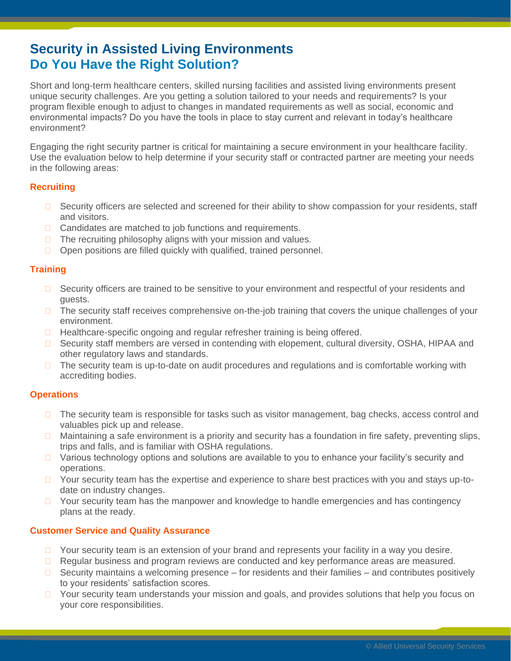# **Security in Assisted Living Environments Do You Have the Right Solution?**

Short and long-term healthcare centers, skilled nursing facilities and assisted living environments present unique security challenges. Are you getting a solution tailored to your needs and requirements? Is your program flexible enough to adjust to changes in mandated requirements as well as social, economic and environmental impacts? Do you have the tools in place to stay current and relevant in today's healthcare environment?

Engaging the right security partner is critical for maintaining a secure environment in your healthcare facility. Use the evaluation below to help determine if your security staff or contracted partner are meeting your needs in the following areas:

### **Recruiting**

- □ Security officers are selected and screened for their ability to show compassion for your residents, staff and visitors.
- □ Candidates are matched to job functions and requirements.
- $\Box$  The recruiting philosophy aligns with your mission and values.
- $\Box$  Open positions are filled quickly with qualified, trained personnel.

## **Training**

- □ Security officers are trained to be sensitive to your environment and respectful of your residents and guests.
- $\Box$  The security staff receives comprehensive on-the-job training that covers the unique challenges of your environment.
- $\Box$  Healthcare-specific ongoing and regular refresher training is being offered.
- □ Security staff members are versed in contending with elopement, cultural diversity, OSHA, HIPAA and other regulatory laws and standards.
- $\Box$  The security team is up-to-date on audit procedures and regulations and is comfortable working with accrediting bodies.

## **Operations**

- $\Box$  The security team is responsible for tasks such as visitor management, bag checks, access control and valuables pick up and release.
- $\Box$  Maintaining a safe environment is a priority and security has a foundation in fire safety, preventing slips, trips and falls, and is familiar with OSHA regulations.
- $\Box$  Various technology options and solutions are available to you to enhance your facility's security and operations.
- $\Box$  Your security team has the expertise and experience to share best practices with you and stays up-todate on industry changes.
- $\Box$  Your security team has the manpower and knowledge to handle emergencies and has contingency plans at the ready.

## **Customer Service and Quality Assurance**

- $\Box$  Your security team is an extension of your brand and represents your facility in a way you desire.
- □ Regular business and program reviews are conducted and key performance areas are measured.
- $\Box$  Security maintains a welcoming presence for residents and their families and contributes positively to your residents' satisfaction scores.
- $\Box$  Your security team understands your mission and goals, and provides solutions that help you focus on your core responsibilities.